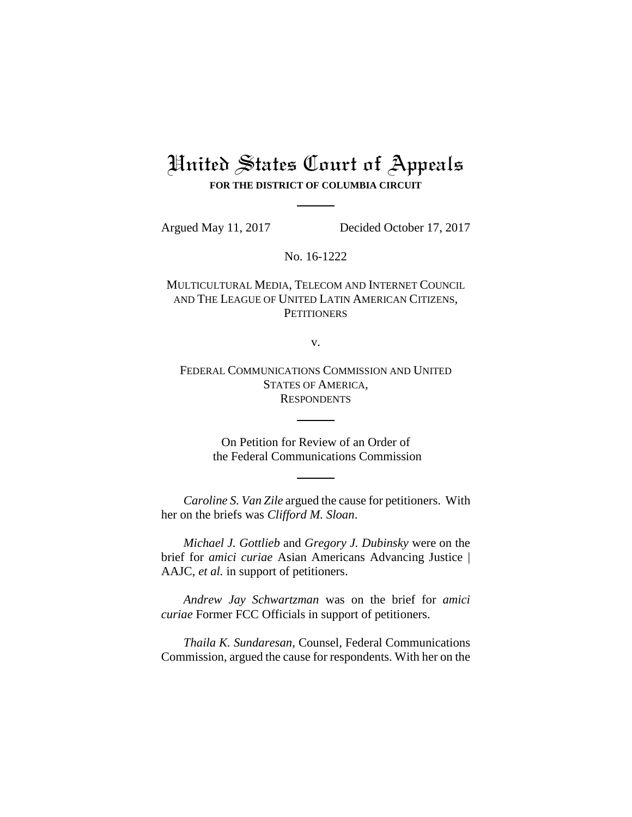## United States Court of Appeals **FOR THE DISTRICT OF COLUMBIA CIRCUIT**

Argued May 11, 2017 Decided October 17, 2017

No. 16-1222

MULTICULTURAL MEDIA, TELECOM AND INTERNET COUNCIL AND THE LEAGUE OF UNITED LATIN AMERICAN CITIZENS, **PETITIONERS** 

v.

FEDERAL COMMUNICATIONS COMMISSION AND UNITED STATES OF AMERICA, **RESPONDENTS** 

> On Petition for Review of an Order of the Federal Communications Commission

*Caroline S. Van Zile* argued the cause for petitioners. With her on the briefs was *Clifford M. Sloan*.

*Michael J. Gottlieb* and *Gregory J. Dubinsky* were on the brief for *amici curiae* Asian Americans Advancing Justice | AAJC, *et al.* in support of petitioners.

*Andrew Jay Schwartzman* was on the brief for *amici curiae* Former FCC Officials in support of petitioners.

*Thaila K. Sundaresan*, Counsel, Federal Communications Commission, argued the cause for respondents. With her on the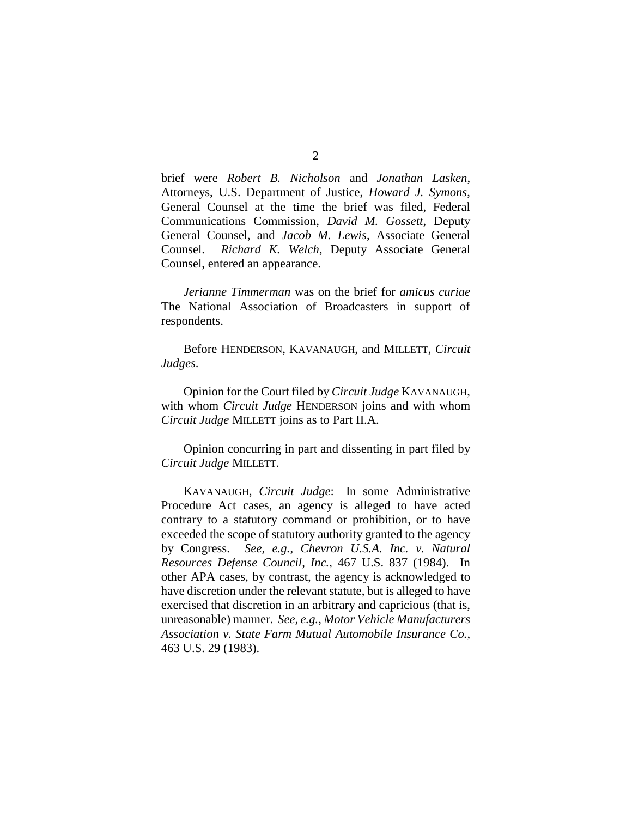brief were *Robert B. Nicholson* and *Jonathan Lasken*, Attorneys, U.S. Department of Justice, *Howard J. Symons*, General Counsel at the time the brief was filed, Federal Communications Commission, *David M. Gossett*, Deputy General Counsel, and *Jacob M. Lewis*, Associate General Counsel. *Richard K. Welch*, Deputy Associate General Counsel, entered an appearance.

*Jerianne Timmerman* was on the brief for *amicus curiae* The National Association of Broadcasters in support of respondents.

Before HENDERSON, KAVANAUGH, and MILLETT, *Circuit Judges*.

Opinion for the Court filed by *Circuit Judge* KAVANAUGH, with whom *Circuit Judge* HENDERSON joins and with whom *Circuit Judge* MILLETT joins as to Part II.A.

Opinion concurring in part and dissenting in part filed by *Circuit Judge* MILLETT.

KAVANAUGH, *Circuit Judge*: In some Administrative Procedure Act cases, an agency is alleged to have acted contrary to a statutory command or prohibition, or to have exceeded the scope of statutory authority granted to the agency by Congress. *See, e.g.*, *Chevron U.S.A. Inc. v. Natural Resources Defense Council, Inc.*, 467 U.S. 837 (1984). In other APA cases, by contrast, the agency is acknowledged to have discretion under the relevant statute, but is alleged to have exercised that discretion in an arbitrary and capricious (that is, unreasonable) manner. *See, e.g.*, *Motor Vehicle Manufacturers Association v. State Farm Mutual Automobile Insurance Co.*, 463 U.S. 29 (1983).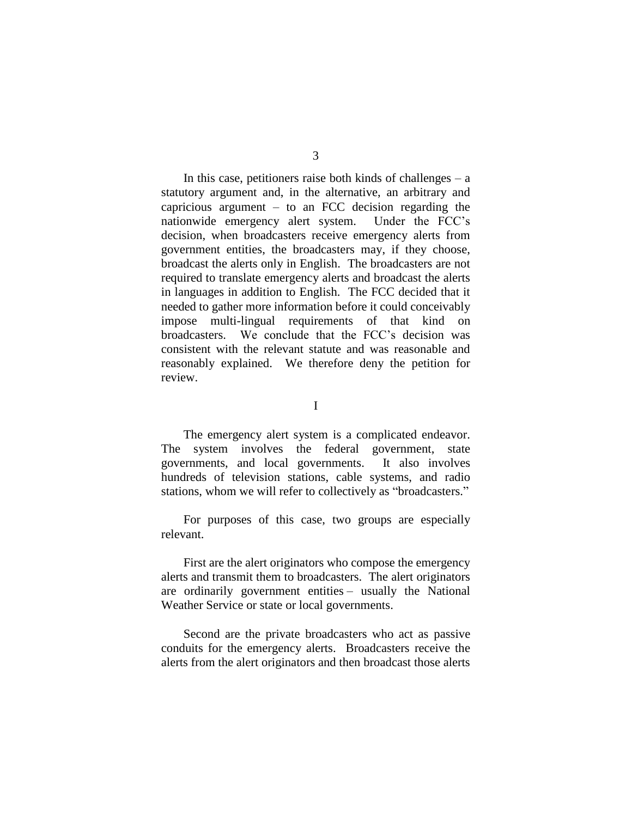In this case, petitioners raise both kinds of challenges  $-$  a statutory argument and, in the alternative, an arbitrary and capricious argument  $-$  to an FCC decision regarding the nationwide emergency alert system. Under the FCC's decision, when broadcasters receive emergency alerts from government entities, the broadcasters may, if they choose, broadcast the alerts only in English. The broadcasters are not required to translate emergency alerts and broadcast the alerts in languages in addition to English. The FCC decided that it needed to gather more information before it could conceivably impose multi-lingual requirements of that kind on broadcasters. We conclude that the FCC's decision was consistent with the relevant statute and was reasonable and reasonably explained. We therefore deny the petition for review.

I

The emergency alert system is a complicated endeavor. The system involves the federal government, state governments, and local governments. It also involves hundreds of television stations, cable systems, and radio stations, whom we will refer to collectively as "broadcasters."

For purposes of this case, two groups are especially relevant.

First are the alert originators who compose the emergency alerts and transmit them to broadcasters. The alert originators are ordinarily government entities – usually the National Weather Service or state or local governments.

Second are the private broadcasters who act as passive conduits for the emergency alerts. Broadcasters receive the alerts from the alert originators and then broadcast those alerts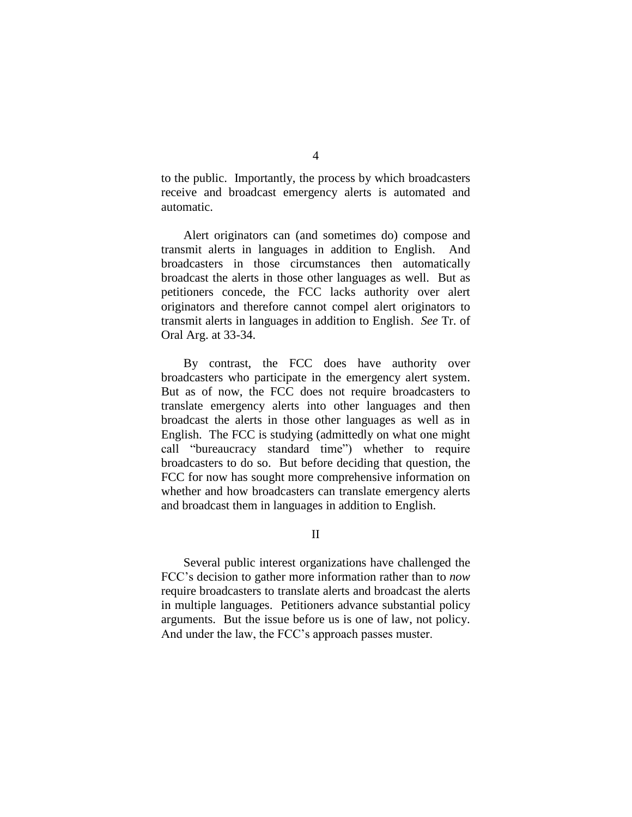to the public. Importantly, the process by which broadcasters receive and broadcast emergency alerts is automated and automatic.

Alert originators can (and sometimes do) compose and transmit alerts in languages in addition to English. And broadcasters in those circumstances then automatically broadcast the alerts in those other languages as well. But as petitioners concede, the FCC lacks authority over alert originators and therefore cannot compel alert originators to transmit alerts in languages in addition to English. *See* Tr. of Oral Arg. at 33-34.

By contrast, the FCC does have authority over broadcasters who participate in the emergency alert system. But as of now, the FCC does not require broadcasters to translate emergency alerts into other languages and then broadcast the alerts in those other languages as well as in English. The FCC is studying (admittedly on what one might call "bureaucracy standard time") whether to require broadcasters to do so. But before deciding that question, the FCC for now has sought more comprehensive information on whether and how broadcasters can translate emergency alerts and broadcast them in languages in addition to English.

II

Several public interest organizations have challenged the FCC's decision to gather more information rather than to *now* require broadcasters to translate alerts and broadcast the alerts in multiple languages. Petitioners advance substantial policy arguments. But the issue before us is one of law, not policy. And under the law, the FCC's approach passes muster.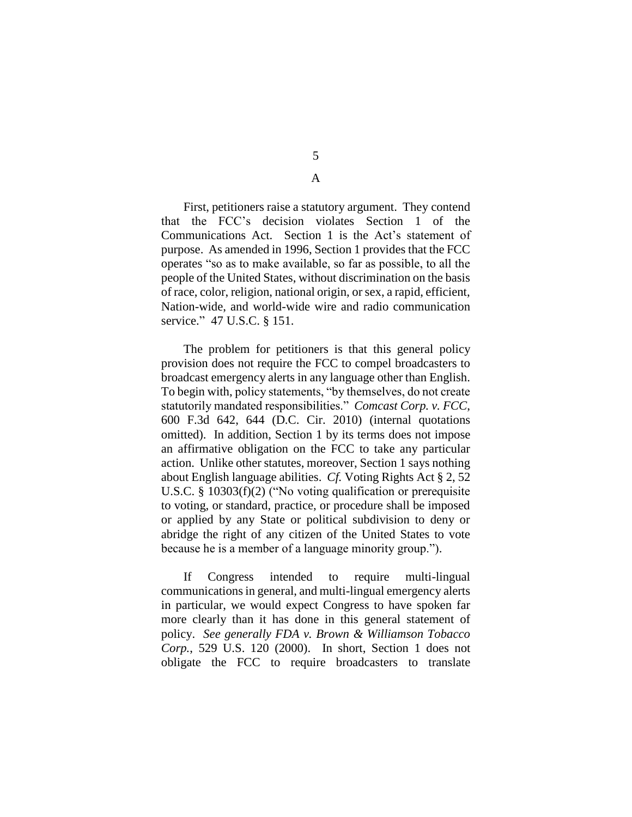5

A

First, petitioners raise a statutory argument. They contend that the FCC's decision violates Section 1 of the Communications Act. Section 1 is the Act's statement of purpose. As amended in 1996, Section 1 provides that the FCC operates "so as to make available, so far as possible, to all the people of the United States, without discrimination on the basis of race, color, religion, national origin, or sex, a rapid, efficient, Nation-wide, and world-wide wire and radio communication service." 47 U.S.C. § 151.

The problem for petitioners is that this general policy provision does not require the FCC to compel broadcasters to broadcast emergency alerts in any language other than English. To begin with, policy statements, "by themselves, do not create statutorily mandated responsibilities." *Comcast Corp. v. FCC*, 600 F.3d 642, 644 (D.C. Cir. 2010) (internal quotations omitted). In addition, Section 1 by its terms does not impose an affirmative obligation on the FCC to take any particular action. Unlike other statutes, moreover, Section 1 says nothing about English language abilities. *Cf.* Voting Rights Act § 2, 52 U.S.C. § 10303(f)(2) ("No voting qualification or prerequisite to voting, or standard, practice, or procedure shall be imposed or applied by any State or political subdivision to deny or abridge the right of any citizen of the United States to vote because he is a member of a language minority group.").

If Congress intended to require multi-lingual communications in general, and multi-lingual emergency alerts in particular, we would expect Congress to have spoken far more clearly than it has done in this general statement of policy. *See generally FDA v. Brown & Williamson Tobacco Corp.*, 529 U.S. 120 (2000). In short, Section 1 does not obligate the FCC to require broadcasters to translate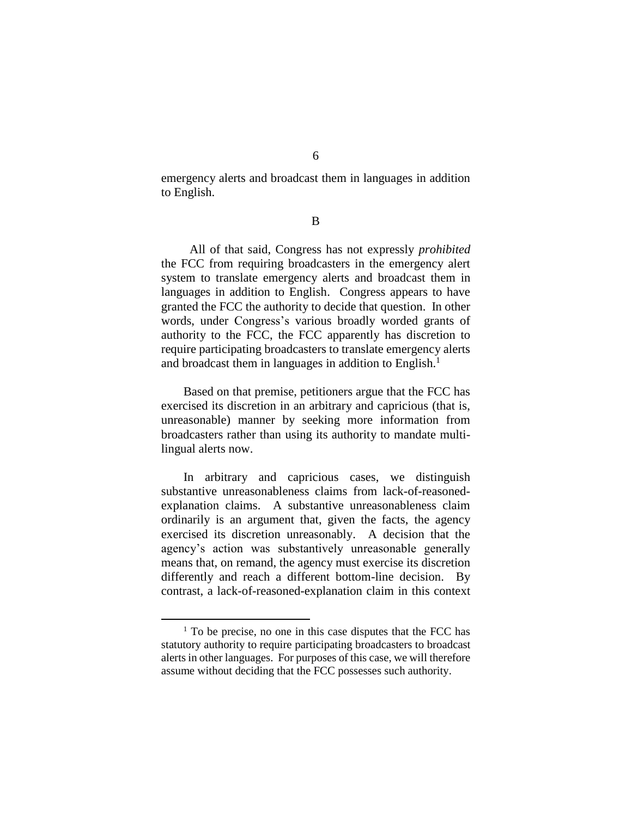emergency alerts and broadcast them in languages in addition to English.

B

All of that said, Congress has not expressly *prohibited* the FCC from requiring broadcasters in the emergency alert system to translate emergency alerts and broadcast them in languages in addition to English. Congress appears to have granted the FCC the authority to decide that question. In other words, under Congress's various broadly worded grants of authority to the FCC, the FCC apparently has discretion to require participating broadcasters to translate emergency alerts and broadcast them in languages in addition to English.<sup>1</sup>

Based on that premise, petitioners argue that the FCC has exercised its discretion in an arbitrary and capricious (that is, unreasonable) manner by seeking more information from broadcasters rather than using its authority to mandate multilingual alerts now.

In arbitrary and capricious cases, we distinguish substantive unreasonableness claims from lack-of-reasonedexplanation claims. A substantive unreasonableness claim ordinarily is an argument that, given the facts, the agency exercised its discretion unreasonably. A decision that the agency's action was substantively unreasonable generally means that, on remand, the agency must exercise its discretion differently and reach a different bottom-line decision. By contrast, a lack-of-reasoned-explanation claim in this context

 $1$  To be precise, no one in this case disputes that the FCC has statutory authority to require participating broadcasters to broadcast alerts in other languages. For purposes of this case, we will therefore assume without deciding that the FCC possesses such authority.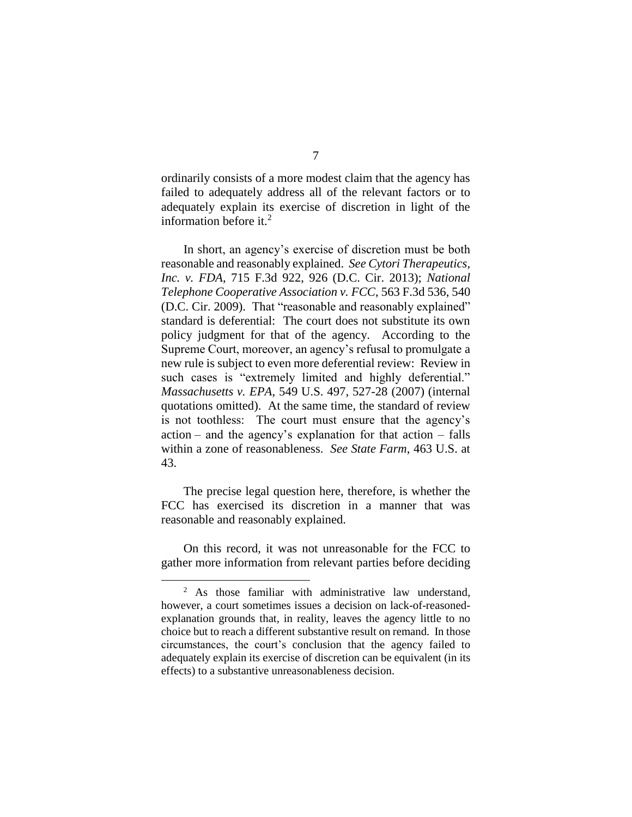ordinarily consists of a more modest claim that the agency has failed to adequately address all of the relevant factors or to adequately explain its exercise of discretion in light of the information before it. $2$ 

In short, an agency's exercise of discretion must be both reasonable and reasonably explained. *See Cytori Therapeutics, Inc. v. FDA*, 715 F.3d 922, 926 (D.C. Cir. 2013); *National Telephone Cooperative Association v. FCC*, 563 F.3d 536, 540 (D.C. Cir. 2009).That "reasonable and reasonably explained" standard is deferential: The court does not substitute its own policy judgment for that of the agency. According to the Supreme Court, moreover, an agency's refusal to promulgate a new rule is subject to even more deferential review: Review in such cases is "extremely limited and highly deferential." *Massachusetts v. EPA*, 549 U.S. 497, 527-28 (2007) (internal quotations omitted).At the same time, the standard of review is not toothless: The court must ensure that the agency's action – and the agency's explanation for that action – falls within a zone of reasonableness. *See State Farm*, 463 U.S. at 43.

The precise legal question here, therefore, is whether the FCC has exercised its discretion in a manner that was reasonable and reasonably explained.

On this record, it was not unreasonable for the FCC to gather more information from relevant parties before deciding

<sup>&</sup>lt;sup>2</sup> As those familiar with administrative law understand, however, a court sometimes issues a decision on lack-of-reasonedexplanation grounds that, in reality, leaves the agency little to no choice but to reach a different substantive result on remand. In those circumstances, the court's conclusion that the agency failed to adequately explain its exercise of discretion can be equivalent (in its effects) to a substantive unreasonableness decision.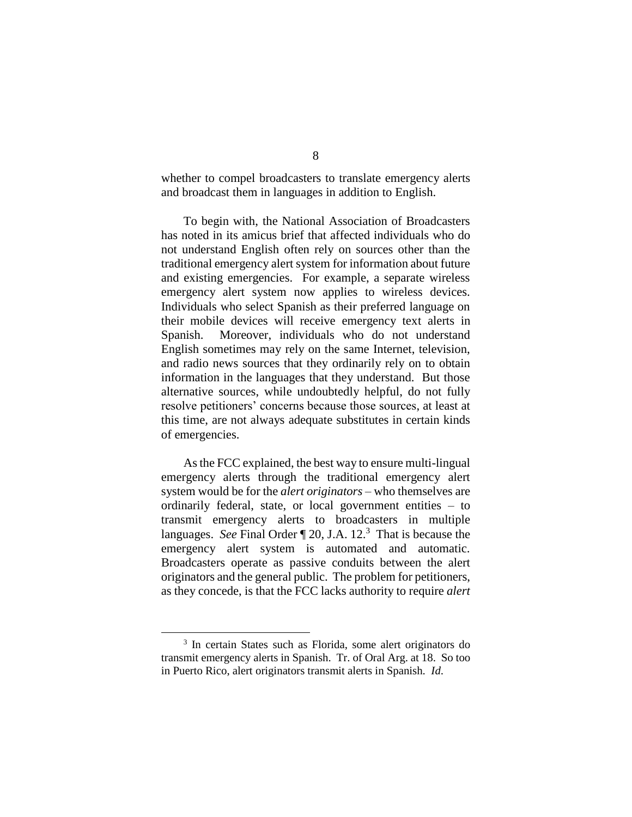whether to compel broadcasters to translate emergency alerts and broadcast them in languages in addition to English.

To begin with, the National Association of Broadcasters has noted in its amicus brief that affected individuals who do not understand English often rely on sources other than the traditional emergency alert system for information about future and existing emergencies. For example, a separate wireless emergency alert system now applies to wireless devices. Individuals who select Spanish as their preferred language on their mobile devices will receive emergency text alerts in Spanish. Moreover, individuals who do not understand English sometimes may rely on the same Internet, television, and radio news sources that they ordinarily rely on to obtain information in the languages that they understand. But those alternative sources, while undoubtedly helpful, do not fully resolve petitioners' concerns because those sources, at least at this time, are not always adequate substitutes in certain kinds of emergencies.

As the FCC explained, the best way to ensure multi-lingual emergency alerts through the traditional emergency alert system would be for the *alert originators* – who themselves are ordinarily federal, state, or local government entities – to transmit emergency alerts to broadcasters in multiple languages. See Final Order [20, J.A. 12.<sup>3</sup> That is because the emergency alert system is automated and automatic. Broadcasters operate as passive conduits between the alert originators and the general public. The problem for petitioners, as they concede, is that the FCC lacks authority to require *alert* 

<sup>&</sup>lt;sup>3</sup> In certain States such as Florida, some alert originators do transmit emergency alerts in Spanish. Tr. of Oral Arg. at 18. So too in Puerto Rico, alert originators transmit alerts in Spanish. *Id*.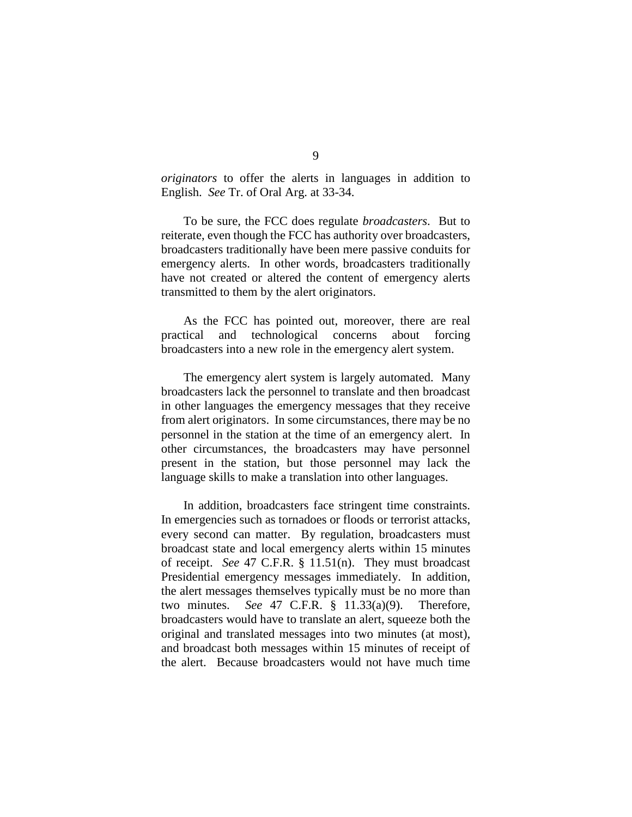*originators* to offer the alerts in languages in addition to English. *See* Tr. of Oral Arg. at 33-34.

To be sure, the FCC does regulate *broadcasters*. But to reiterate, even though the FCC has authority over broadcasters, broadcasters traditionally have been mere passive conduits for emergency alerts. In other words, broadcasters traditionally have not created or altered the content of emergency alerts transmitted to them by the alert originators.

As the FCC has pointed out, moreover, there are real practical and technological concerns about forcing broadcasters into a new role in the emergency alert system.

The emergency alert system is largely automated. Many broadcasters lack the personnel to translate and then broadcast in other languages the emergency messages that they receive from alert originators. In some circumstances, there may be no personnel in the station at the time of an emergency alert. In other circumstances, the broadcasters may have personnel present in the station, but those personnel may lack the language skills to make a translation into other languages.

In addition, broadcasters face stringent time constraints. In emergencies such as tornadoes or floods or terrorist attacks, every second can matter. By regulation, broadcasters must broadcast state and local emergency alerts within 15 minutes of receipt. *See* 47 C.F.R. § 11.51(n). They must broadcast Presidential emergency messages immediately. In addition, the alert messages themselves typically must be no more than two minutes. *See* 47 C.F.R. § 11.33(a)(9). Therefore, broadcasters would have to translate an alert, squeeze both the original and translated messages into two minutes (at most), and broadcast both messages within 15 minutes of receipt of the alert. Because broadcasters would not have much time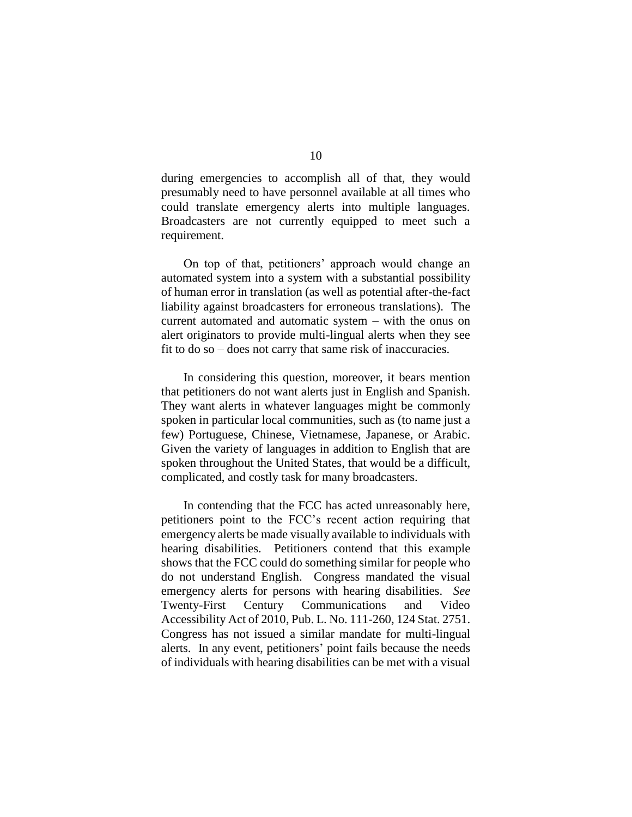during emergencies to accomplish all of that, they would presumably need to have personnel available at all times who could translate emergency alerts into multiple languages. Broadcasters are not currently equipped to meet such a requirement.

On top of that, petitioners' approach would change an automated system into a system with a substantial possibility of human error in translation (as well as potential after-the-fact liability against broadcasters for erroneous translations). The current automated and automatic system – with the onus on alert originators to provide multi-lingual alerts when they see fit to do so – does not carry that same risk of inaccuracies.

In considering this question, moreover, it bears mention that petitioners do not want alerts just in English and Spanish. They want alerts in whatever languages might be commonly spoken in particular local communities, such as (to name just a few) Portuguese, Chinese, Vietnamese, Japanese, or Arabic. Given the variety of languages in addition to English that are spoken throughout the United States, that would be a difficult, complicated, and costly task for many broadcasters.

In contending that the FCC has acted unreasonably here, petitioners point to the FCC's recent action requiring that emergency alerts be made visually available to individuals with hearing disabilities. Petitioners contend that this example shows that the FCC could do something similar for people who do not understand English. Congress mandated the visual emergency alerts for persons with hearing disabilities. *See*  Twenty-First Century Communications and Video Accessibility Act of 2010, Pub. L. No. 111-260, 124 Stat. 2751. Congress has not issued a similar mandate for multi-lingual alerts. In any event, petitioners' point fails because the needs of individuals with hearing disabilities can be met with a visual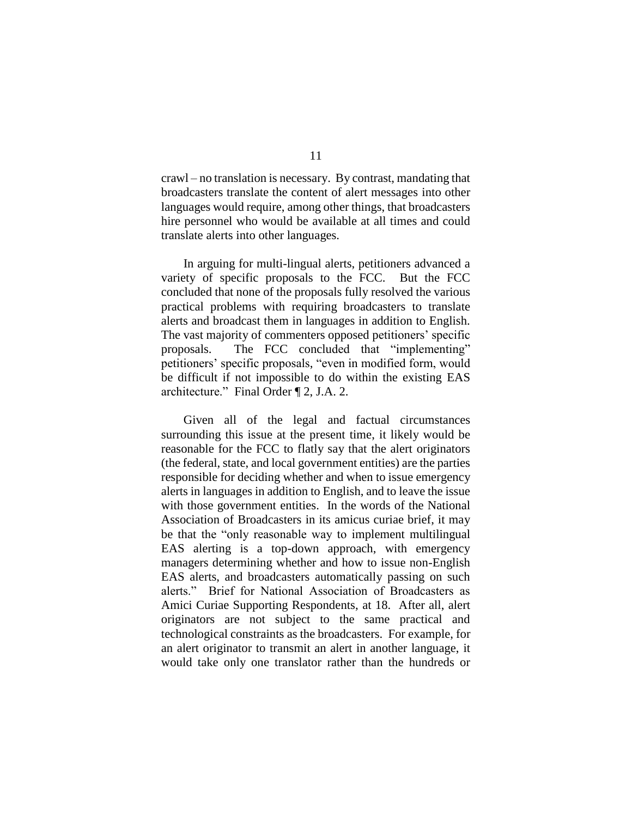crawl – no translation is necessary. By contrast, mandating that broadcasters translate the content of alert messages into other languages would require, among other things, that broadcasters hire personnel who would be available at all times and could translate alerts into other languages.

In arguing for multi-lingual alerts, petitioners advanced a variety of specific proposals to the FCC. But the FCC concluded that none of the proposals fully resolved the various practical problems with requiring broadcasters to translate alerts and broadcast them in languages in addition to English. The vast majority of commenters opposed petitioners' specific proposals. The FCC concluded that "implementing" petitioners' specific proposals, "even in modified form, would be difficult if not impossible to do within the existing EAS architecture." Final Order ¶ 2, J.A. 2.

Given all of the legal and factual circumstances surrounding this issue at the present time, it likely would be reasonable for the FCC to flatly say that the alert originators (the federal, state, and local government entities) are the parties responsible for deciding whether and when to issue emergency alerts in languages in addition to English, and to leave the issue with those government entities. In the words of the National Association of Broadcasters in its amicus curiae brief, it may be that the "only reasonable way to implement multilingual EAS alerting is a top-down approach, with emergency managers determining whether and how to issue non-English EAS alerts, and broadcasters automatically passing on such alerts." Brief for National Association of Broadcasters as Amici Curiae Supporting Respondents, at 18. After all, alert originators are not subject to the same practical and technological constraints as the broadcasters. For example, for an alert originator to transmit an alert in another language, it would take only one translator rather than the hundreds or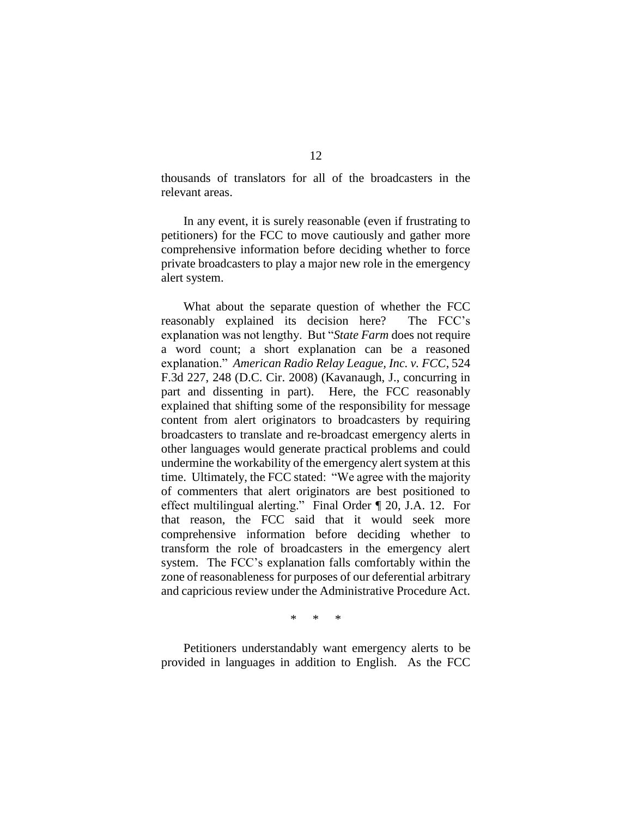thousands of translators for all of the broadcasters in the relevant areas.

In any event, it is surely reasonable (even if frustrating to petitioners) for the FCC to move cautiously and gather more comprehensive information before deciding whether to force private broadcasters to play a major new role in the emergency alert system.

What about the separate question of whether the FCC reasonably explained its decision here? The FCC's explanation was not lengthy. But "*State Farm* does not require a word count; a short explanation can be a reasoned explanation." *American Radio Relay League, Inc. v. FCC*, 524 F.3d 227, 248 (D.C. Cir. 2008) (Kavanaugh, J., concurring in part and dissenting in part). Here, the FCC reasonably explained that shifting some of the responsibility for message content from alert originators to broadcasters by requiring broadcasters to translate and re-broadcast emergency alerts in other languages would generate practical problems and could undermine the workability of the emergency alert system at this time. Ultimately, the FCC stated: "We agree with the majority of commenters that alert originators are best positioned to effect multilingual alerting." Final Order ¶ 20, J.A. 12. For that reason, the FCC said that it would seek more comprehensive information before deciding whether to transform the role of broadcasters in the emergency alert system. The FCC's explanation falls comfortably within the zone of reasonableness for purposes of our deferential arbitrary and capricious review under the Administrative Procedure Act.

\* \* \*

Petitioners understandably want emergency alerts to be provided in languages in addition to English. As the FCC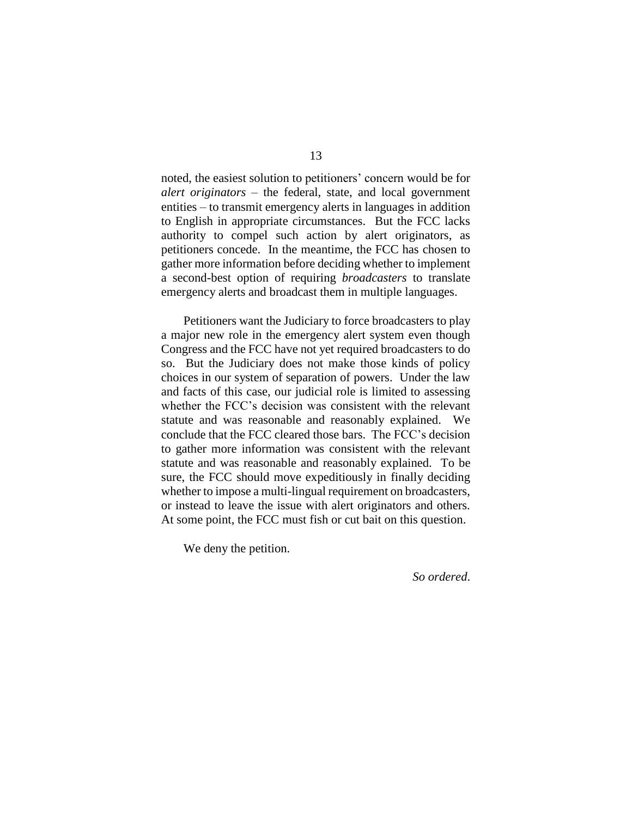noted, the easiest solution to petitioners' concern would be for *alert originators* – the federal, state, and local government entities – to transmit emergency alerts in languages in addition to English in appropriate circumstances. But the FCC lacks authority to compel such action by alert originators, as petitioners concede. In the meantime, the FCC has chosen to gather more information before deciding whether to implement a second-best option of requiring *broadcasters* to translate emergency alerts and broadcast them in multiple languages.

Petitioners want the Judiciary to force broadcasters to play a major new role in the emergency alert system even though Congress and the FCC have not yet required broadcasters to do so. But the Judiciary does not make those kinds of policy choices in our system of separation of powers. Under the law and facts of this case, our judicial role is limited to assessing whether the FCC's decision was consistent with the relevant statute and was reasonable and reasonably explained. We conclude that the FCC cleared those bars. The FCC's decision to gather more information was consistent with the relevant statute and was reasonable and reasonably explained. To be sure, the FCC should move expeditiously in finally deciding whether to impose a multi-lingual requirement on broadcasters, or instead to leave the issue with alert originators and others. At some point, the FCC must fish or cut bait on this question.

We deny the petition.

*So ordered*.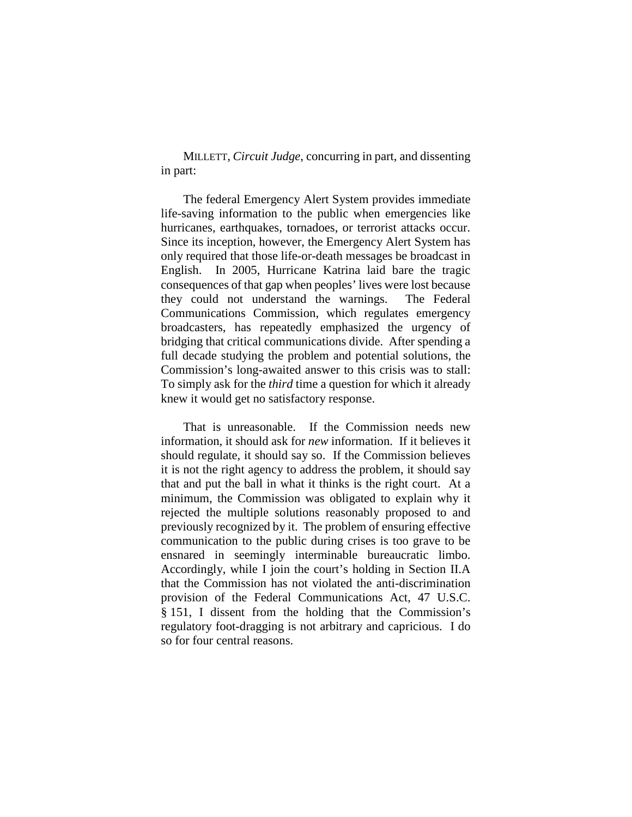MILLETT, *Circuit Judge*, concurring in part, and dissenting in part:

The federal Emergency Alert System provides immediate life-saving information to the public when emergencies like hurricanes, earthquakes, tornadoes, or terrorist attacks occur. Since its inception, however, the Emergency Alert System has only required that those life-or-death messages be broadcast in English. In 2005, Hurricane Katrina laid bare the tragic consequences of that gap when peoples' lives were lost because they could not understand the warnings. The Federal Communications Commission, which regulates emergency broadcasters, has repeatedly emphasized the urgency of bridging that critical communications divide. After spending a full decade studying the problem and potential solutions, the Commission's long-awaited answer to this crisis was to stall: To simply ask for the *third* time a question for which it already knew it would get no satisfactory response.

That is unreasonable. If the Commission needs new information, it should ask for *new* information. If it believes it should regulate, it should say so. If the Commission believes it is not the right agency to address the problem, it should say that and put the ball in what it thinks is the right court. At a minimum, the Commission was obligated to explain why it rejected the multiple solutions reasonably proposed to and previously recognized by it. The problem of ensuring effective communication to the public during crises is too grave to be ensnared in seemingly interminable bureaucratic limbo. Accordingly, while I join the court's holding in Section II.A that the Commission has not violated the anti-discrimination provision of the Federal Communications Act, 47 U.S.C. § 151, I dissent from the holding that the Commission's regulatory foot-dragging is not arbitrary and capricious. I do so for four central reasons.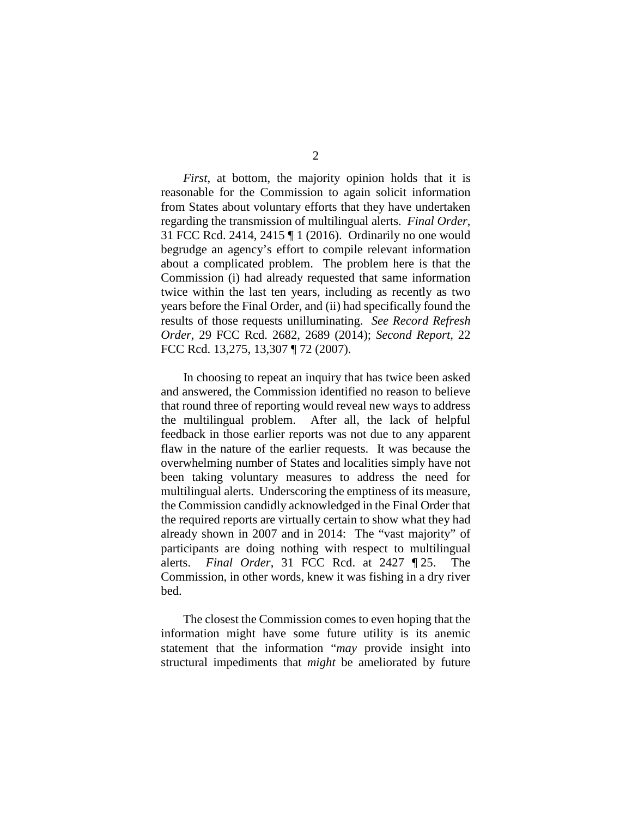2

*First*, at bottom, the majority opinion holds that it is reasonable for the Commission to again solicit information from States about voluntary efforts that they have undertaken regarding the transmission of multilingual alerts. *Final Order*, 31 FCC Rcd. 2414, 2415 ¶ 1 (2016). Ordinarily no one would begrudge an agency's effort to compile relevant information about a complicated problem. The problem here is that the Commission (i) had already requested that same information twice within the last ten years, including as recently as two years before the Final Order, and (ii) had specifically found the results of those requests unilluminating. *See Record Refresh Order*, 29 FCC Rcd. 2682, 2689 (2014); *Second Report*, 22 FCC Rcd. 13,275, 13,307 ¶ 72 (2007).

In choosing to repeat an inquiry that has twice been asked and answered, the Commission identified no reason to believe that round three of reporting would reveal new ways to address the multilingual problem. After all, the lack of helpful feedback in those earlier reports was not due to any apparent flaw in the nature of the earlier requests. It was because the overwhelming number of States and localities simply have not been taking voluntary measures to address the need for multilingual alerts. Underscoring the emptiness of its measure, the Commission candidly acknowledged in the Final Order that the required reports are virtually certain to show what they had already shown in 2007 and in 2014: The "vast majority" of participants are doing nothing with respect to multilingual alerts. *Final Order*, 31 FCC Rcd. at 2427 ¶ 25. The Commission, in other words, knew it was fishing in a dry river bed.

The closest the Commission comes to even hoping that the information might have some future utility is its anemic statement that the information "*may* provide insight into structural impediments that *might* be ameliorated by future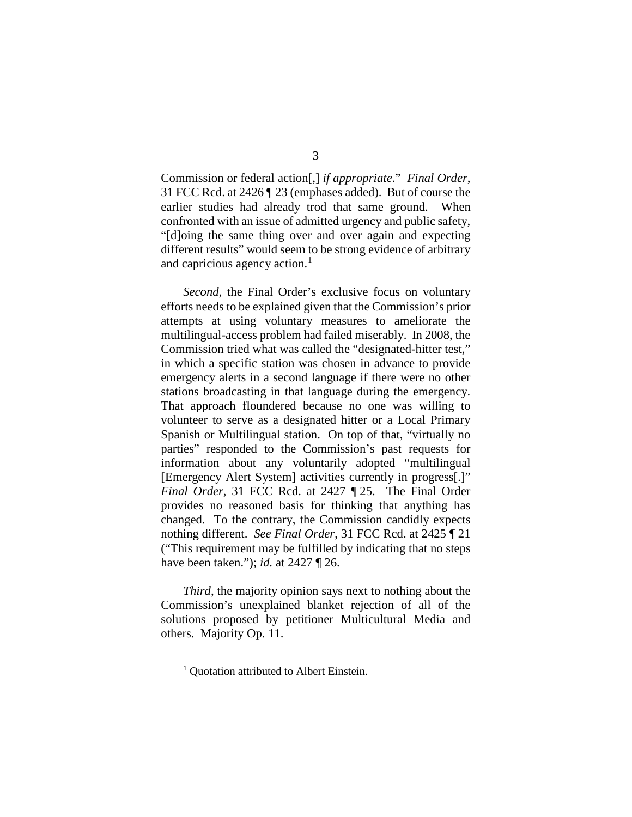Commission or federal action[,] *if appropriate*." *Final Order*, 31 FCC Rcd. at 2426 ¶ 23 (emphases added). But of course the earlier studies had already trod that same ground. When confronted with an issue of admitted urgency and public safety, "[d]oing the same thing over and over again and expecting different results" would seem to be strong evidence of arbitrary and capricious agency action. $<sup>1</sup>$  $<sup>1</sup>$  $<sup>1</sup>$ </sup>

*Second*, the Final Order's exclusive focus on voluntary efforts needs to be explained given that the Commission's prior attempts at using voluntary measures to ameliorate the multilingual-access problem had failed miserably. In 2008, the Commission tried what was called the "designated-hitter test," in which a specific station was chosen in advance to provide emergency alerts in a second language if there were no other stations broadcasting in that language during the emergency. That approach floundered because no one was willing to volunteer to serve as a designated hitter or a Local Primary Spanish or Multilingual station. On top of that, "virtually no parties" responded to the Commission's past requests for information about any voluntarily adopted "multilingual [Emergency Alert System] activities currently in progress[.]" *Final Order*, 31 FCC Rcd. at 2427 ¶ 25. The Final Order provides no reasoned basis for thinking that anything has changed. To the contrary, the Commission candidly expects nothing different. *See Final Order*, 31 FCC Rcd. at 2425 ¶ 21 ("This requirement may be fulfilled by indicating that no steps have been taken."); *id.* at 2427 ¶ 26.

<span id="page-15-0"></span>*Third*, the majority opinion says next to nothing about the Commission's unexplained blanket rejection of all of the solutions proposed by petitioner Multicultural Media and others. Majority Op. 11.

<sup>&</sup>lt;sup>1</sup> Ouotation attributed to Albert Einstein.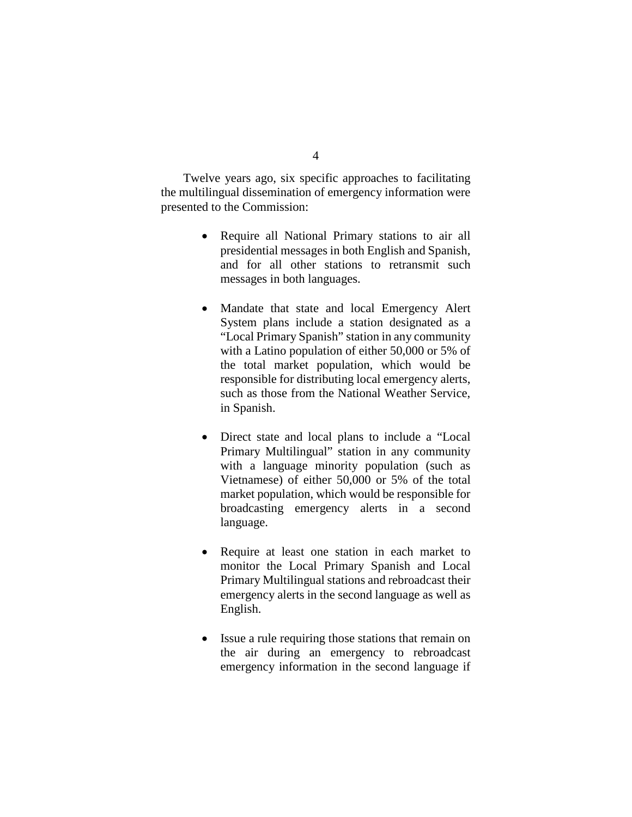Twelve years ago, six specific approaches to facilitating the multilingual dissemination of emergency information were presented to the Commission:

- Require all National Primary stations to air all presidential messages in both English and Spanish, and for all other stations to retransmit such messages in both languages.
- Mandate that state and local Emergency Alert System plans include a station designated as a "Local Primary Spanish" station in any community with a Latino population of either 50,000 or 5% of the total market population, which would be responsible for distributing local emergency alerts, such as those from the National Weather Service, in Spanish.
- Direct state and local plans to include a "Local Primary Multilingual" station in any community with a language minority population (such as Vietnamese) of either 50,000 or 5% of the total market population, which would be responsible for broadcasting emergency alerts in a second language.
- Require at least one station in each market to monitor the Local Primary Spanish and Local Primary Multilingual stations and rebroadcast their emergency alerts in the second language as well as English.
- Issue a rule requiring those stations that remain on the air during an emergency to rebroadcast emergency information in the second language if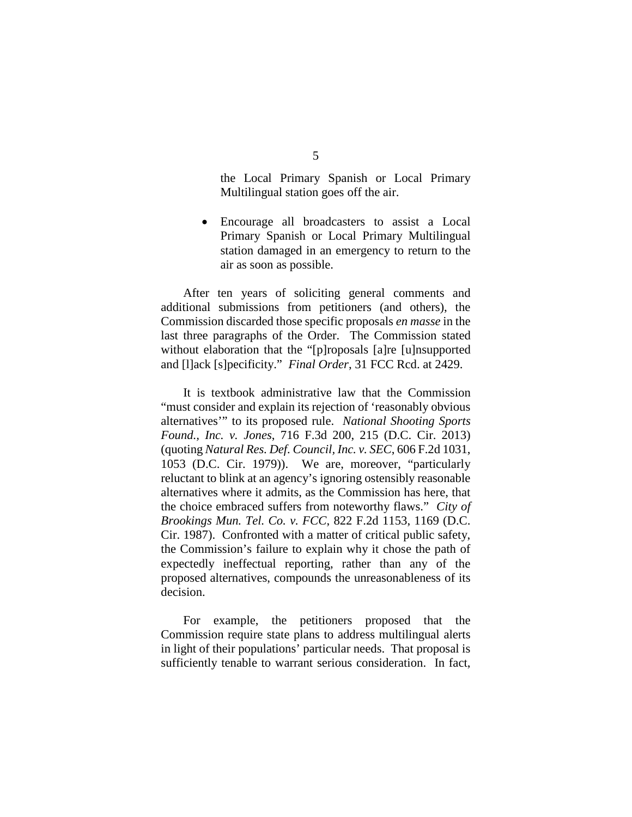the Local Primary Spanish or Local Primary Multilingual station goes off the air.

• Encourage all broadcasters to assist a Local Primary Spanish or Local Primary Multilingual station damaged in an emergency to return to the air as soon as possible.

After ten years of soliciting general comments and additional submissions from petitioners (and others), the Commission discarded those specific proposals *en masse* in the last three paragraphs of the Order. The Commission stated without elaboration that the "[p]roposals [a]re [u]nsupported and [l]ack [s]pecificity." *Final Order*, 31 FCC Rcd. at 2429.

It is textbook administrative law that the Commission "must consider and explain its rejection of 'reasonably obvious alternatives'" to its proposed rule. *National Shooting Sports Found., Inc. v. Jones*, 716 F.3d 200, 215 (D.C. Cir. 2013) (quoting *Natural Res. Def. Council, Inc. v. SEC*, 606 F.2d 1031, 1053 (D.C. Cir. 1979)). We are, moreover, "particularly reluctant to blink at an agency's ignoring ostensibly reasonable alternatives where it admits, as the Commission has here, that the choice embraced suffers from noteworthy flaws." *City of Brookings Mun. Tel. Co. v. FCC*, 822 F.2d 1153, 1169 (D.C. Cir. 1987). Confronted with a matter of critical public safety, the Commission's failure to explain why it chose the path of expectedly ineffectual reporting, rather than any of the proposed alternatives, compounds the unreasonableness of its decision.

For example, the petitioners proposed that the Commission require state plans to address multilingual alerts in light of their populations' particular needs. That proposal is sufficiently tenable to warrant serious consideration. In fact,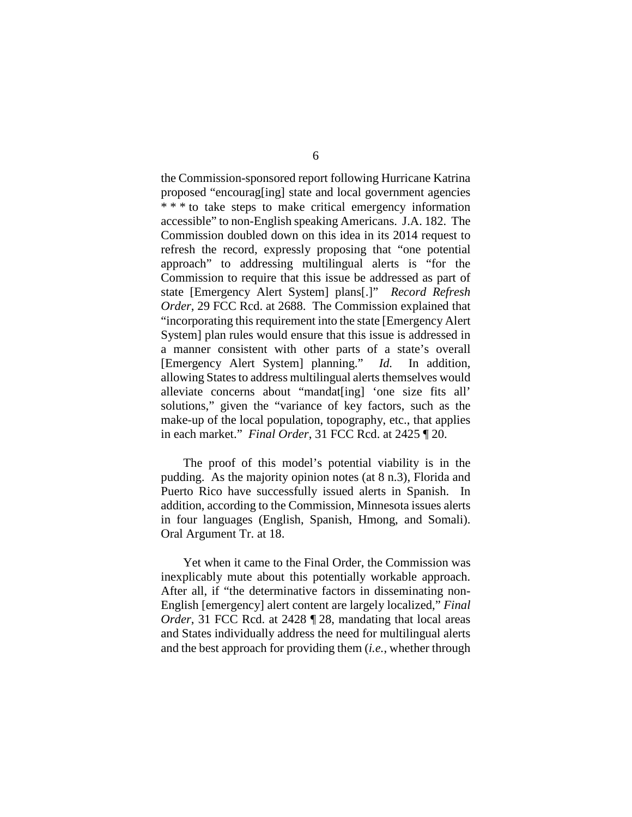the Commission-sponsored report following Hurricane Katrina proposed "encourag[ing] state and local government agencies \* \* \* to take steps to make critical emergency information accessible" to non-English speaking Americans. J.A. 182. The Commission doubled down on this idea in its 2014 request to refresh the record, expressly proposing that "one potential approach" to addressing multilingual alerts is "for the Commission to require that this issue be addressed as part of state [Emergency Alert System] plans[.]" *Record Refresh Order*, 29 FCC Rcd. at 2688. The Commission explained that "incorporating this requirement into the state [Emergency Alert System] plan rules would ensure that this issue is addressed in a manner consistent with other parts of a state's overall [Emergency Alert System] planning." *Id.* In addition, allowing States to address multilingual alerts themselves would alleviate concerns about "mandat[ing] 'one size fits all' solutions," given the "variance of key factors, such as the make-up of the local population, topography, etc., that applies in each market." *Final Order*, 31 FCC Rcd. at 2425 ¶ 20.

The proof of this model's potential viability is in the pudding. As the majority opinion notes (at 8 n.3), Florida and Puerto Rico have successfully issued alerts in Spanish. In addition, according to the Commission, Minnesota issues alerts in four languages (English, Spanish, Hmong, and Somali). Oral Argument Tr. at 18.

Yet when it came to the Final Order, the Commission was inexplicably mute about this potentially workable approach. After all, if "the determinative factors in disseminating non-English [emergency] alert content are largely localized," *Final Order*, 31 FCC Rcd. at 2428 **[28]**, mandating that local areas and States individually address the need for multilingual alerts and the best approach for providing them (*i.e.*, whether through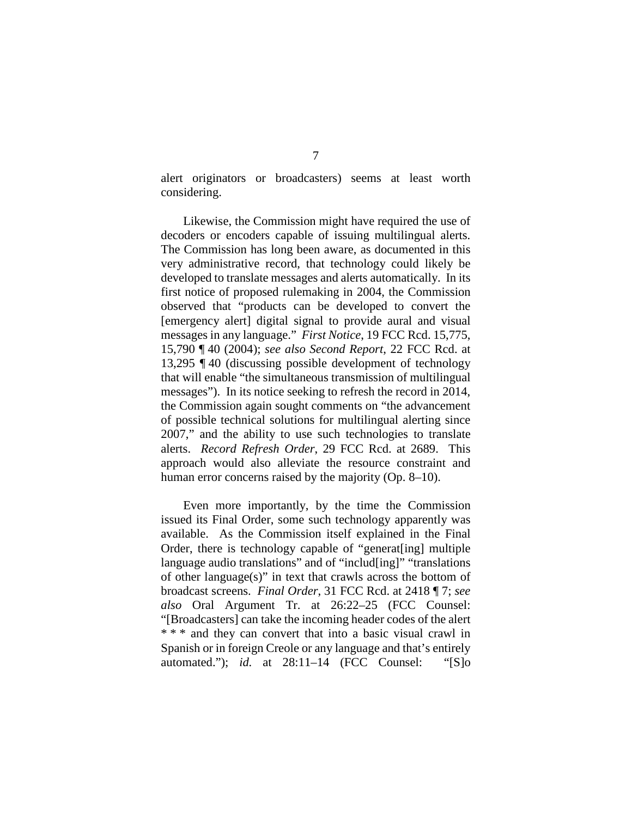alert originators or broadcasters) seems at least worth considering.

Likewise, the Commission might have required the use of decoders or encoders capable of issuing multilingual alerts. The Commission has long been aware, as documented in this very administrative record, that technology could likely be developed to translate messages and alerts automatically. In its first notice of proposed rulemaking in 2004, the Commission observed that "products can be developed to convert the [emergency alert] digital signal to provide aural and visual messages in any language." *First Notice*, 19 FCC Rcd. 15,775, 15,790 ¶ 40 (2004); *see also Second Report*, 22 FCC Rcd. at 13,295 ¶ 40 (discussing possible development of technology that will enable "the simultaneous transmission of multilingual messages"). In its notice seeking to refresh the record in 2014, the Commission again sought comments on "the advancement of possible technical solutions for multilingual alerting since 2007," and the ability to use such technologies to translate alerts. *Record Refresh Order*, 29 FCC Rcd. at 2689. This approach would also alleviate the resource constraint and human error concerns raised by the majority (Op. 8–10).

Even more importantly, by the time the Commission issued its Final Order, some such technology apparently was available. As the Commission itself explained in the Final Order, there is technology capable of "generat[ing] multiple language audio translations" and of "includ[ing]" "translations of other language(s)" in text that crawls across the bottom of broadcast screens. *Final Order*, 31 FCC Rcd. at 2418 ¶ 7; *see also* Oral Argument Tr. at 26:22–25 (FCC Counsel: "[Broadcasters] can take the incoming header codes of the alert \* \* \* and they can convert that into a basic visual crawl in Spanish or in foreign Creole or any language and that's entirely automated."); *id.* at 28:11–14 (FCC Counsel: "[S]o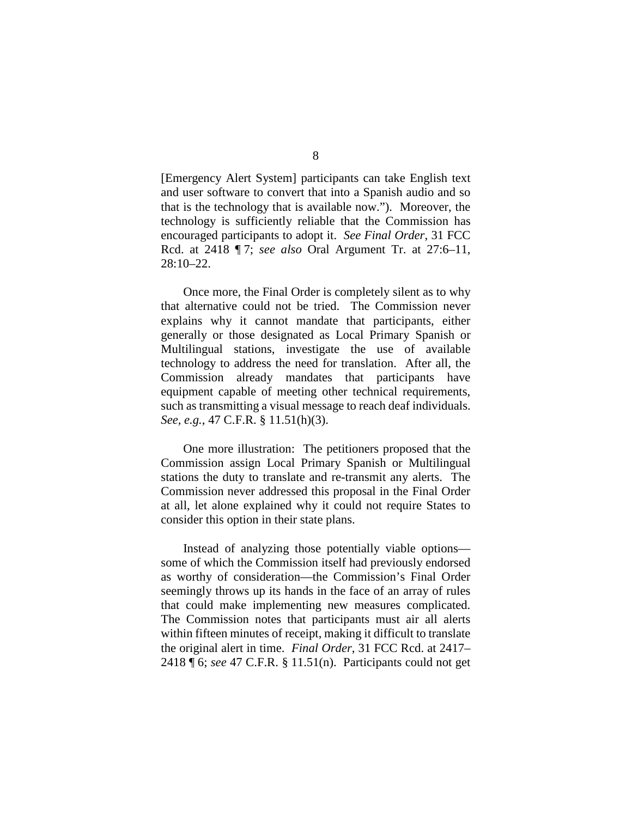[Emergency Alert System] participants can take English text and user software to convert that into a Spanish audio and so that is the technology that is available now."). Moreover, the technology is sufficiently reliable that the Commission has encouraged participants to adopt it. *See Final Order*, 31 FCC Rcd. at 2418 ¶ 7; *see also* Oral Argument Tr. at 27:6–11, 28:10–22.

Once more, the Final Order is completely silent as to why that alternative could not be tried. The Commission never explains why it cannot mandate that participants, either generally or those designated as Local Primary Spanish or Multilingual stations, investigate the use of available technology to address the need for translation. After all, the Commission already mandates that participants have equipment capable of meeting other technical requirements, such as transmitting a visual message to reach deaf individuals. *See, e.g.*, 47 C.F.R. § 11.51(h)(3).

One more illustration: The petitioners proposed that the Commission assign Local Primary Spanish or Multilingual stations the duty to translate and re-transmit any alerts. The Commission never addressed this proposal in the Final Order at all, let alone explained why it could not require States to consider this option in their state plans.

Instead of analyzing those potentially viable options some of which the Commission itself had previously endorsed as worthy of consideration—the Commission's Final Order seemingly throws up its hands in the face of an array of rules that could make implementing new measures complicated. The Commission notes that participants must air all alerts within fifteen minutes of receipt, making it difficult to translate the original alert in time. *Final Order*, 31 FCC Rcd. at 2417– 2418 ¶ 6; *see* 47 C.F.R. § 11.51(n). Participants could not get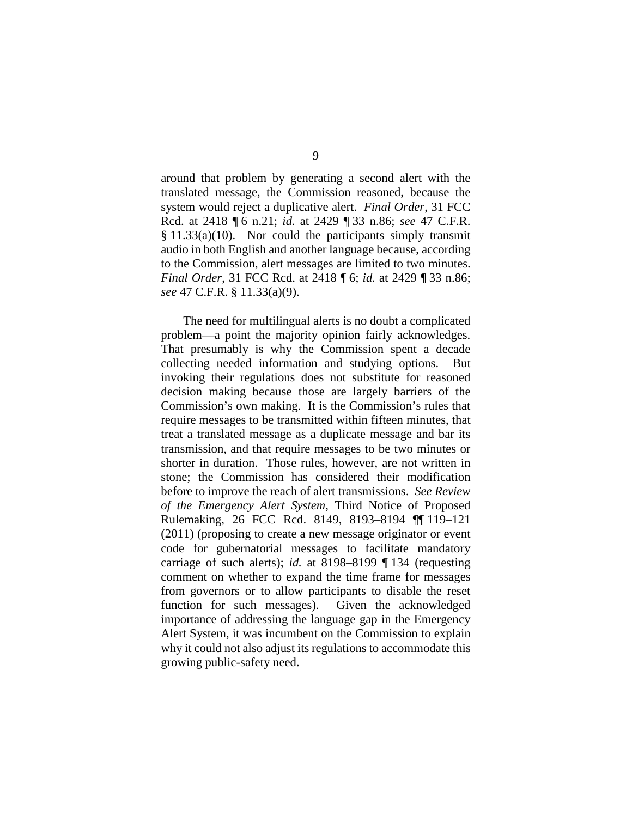around that problem by generating a second alert with the translated message, the Commission reasoned, because the system would reject a duplicative alert. *Final Order*, 31 FCC Rcd. at 2418 ¶ 6 n.21; *id.* at 2429 ¶ 33 n.86; *see* 47 C.F.R.  $§ 11.33(a)(10)$ . Nor could the participants simply transmit audio in both English and another language because, according to the Commission, alert messages are limited to two minutes. *Final Order*, 31 FCC Rcd. at 2418 ¶ 6; *id.* at 2429 ¶ 33 n.86; *see* 47 C.F.R. § 11.33(a)(9).

The need for multilingual alerts is no doubt a complicated problem—a point the majority opinion fairly acknowledges. That presumably is why the Commission spent a decade collecting needed information and studying options. But invoking their regulations does not substitute for reasoned decision making because those are largely barriers of the Commission's own making. It is the Commission's rules that require messages to be transmitted within fifteen minutes, that treat a translated message as a duplicate message and bar its transmission, and that require messages to be two minutes or shorter in duration. Those rules, however, are not written in stone; the Commission has considered their modification before to improve the reach of alert transmissions. *See Review of the Emergency Alert System*, Third Notice of Proposed Rulemaking, 26 FCC Rcd. 8149, 8193–8194 ¶¶ 119–121 (2011) (proposing to create a new message originator or event code for gubernatorial messages to facilitate mandatory carriage of such alerts); *id.* at 8198–8199 ¶ 134 (requesting comment on whether to expand the time frame for messages from governors or to allow participants to disable the reset function for such messages). Given the acknowledged importance of addressing the language gap in the Emergency Alert System, it was incumbent on the Commission to explain why it could not also adjust its regulations to accommodate this growing public-safety need.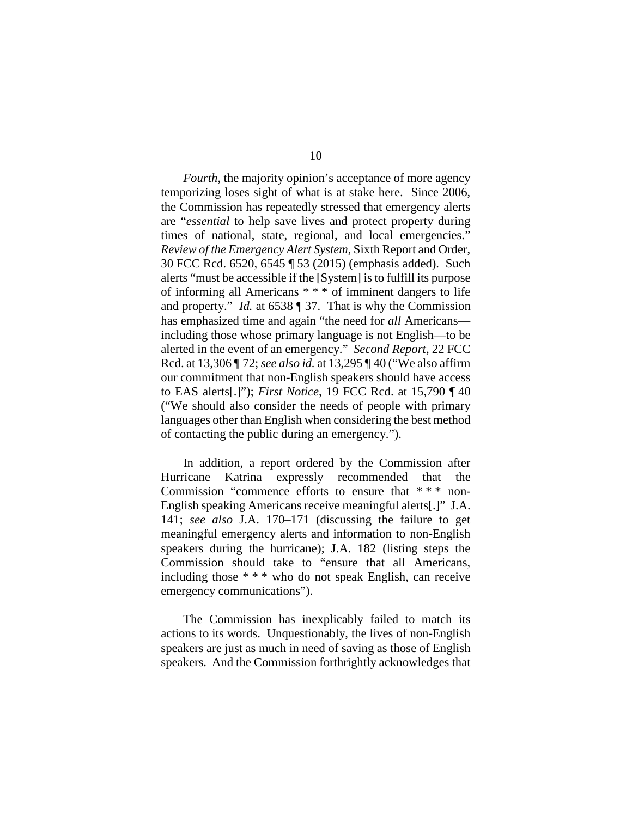*Fourth*, the majority opinion's acceptance of more agency temporizing loses sight of what is at stake here. Since 2006, the Commission has repeatedly stressed that emergency alerts are "*essential* to help save lives and protect property during times of national, state, regional, and local emergencies." *Review of the Emergency Alert System*, Sixth Report and Order, 30 FCC Rcd. 6520, 6545 ¶ 53 (2015) (emphasis added). Such alerts "must be accessible if the [System] is to fulfill its purpose of informing all Americans \* \* \* of imminent dangers to life and property." *Id.* at 6538 ¶ 37. That is why the Commission has emphasized time and again "the need for *all* Americans including those whose primary language is not English—to be alerted in the event of an emergency." *Second Report*, 22 FCC Rcd. at 13,306 ¶ 72; *see also id.* at 13,295 ¶ 40 ("We also affirm our commitment that non-English speakers should have access to EAS alerts[.]"); *First Notice*, 19 FCC Rcd. at 15,790 ¶ 40 ("We should also consider the needs of people with primary languages other than English when considering the best method of contacting the public during an emergency.").

In addition, a report ordered by the Commission after Hurricane Katrina expressly recommended that the Commission "commence efforts to ensure that \* \* \* non-English speaking Americans receive meaningful alerts[.]" J.A. 141; *see also* J.A. 170–171 (discussing the failure to get meaningful emergency alerts and information to non-English speakers during the hurricane); J.A. 182 (listing steps the Commission should take to "ensure that all Americans, including those \* \* \* who do not speak English, can receive emergency communications").

The Commission has inexplicably failed to match its actions to its words. Unquestionably, the lives of non-English speakers are just as much in need of saving as those of English speakers. And the Commission forthrightly acknowledges that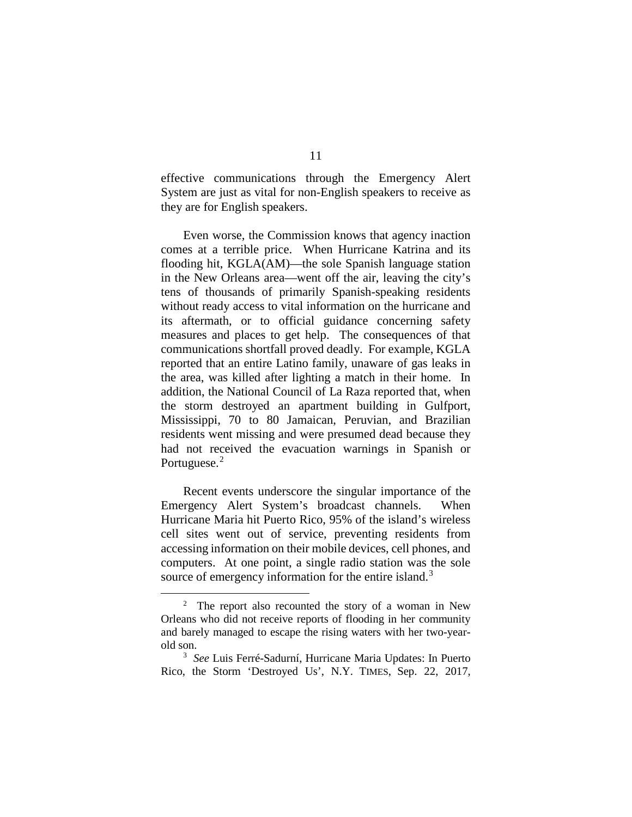effective communications through the Emergency Alert System are just as vital for non-English speakers to receive as they are for English speakers.

Even worse, the Commission knows that agency inaction comes at a terrible price. When Hurricane Katrina and its flooding hit, KGLA(AM)—the sole Spanish language station in the New Orleans area—went off the air, leaving the city's tens of thousands of primarily Spanish-speaking residents without ready access to vital information on the hurricane and its aftermath, or to official guidance concerning safety measures and places to get help. The consequences of that communications shortfall proved deadly. For example, KGLA reported that an entire Latino family, unaware of gas leaks in the area, was killed after lighting a match in their home. In addition, the National Council of La Raza reported that, when the storm destroyed an apartment building in Gulfport, Mississippi, 70 to 80 Jamaican, Peruvian, and Brazilian residents went missing and were presumed dead because they had not received the evacuation warnings in Spanish or Portuguese.<sup>[2](#page-23-0)</sup>

Recent events underscore the singular importance of the Emergency Alert System's broadcast channels. When Hurricane Maria hit Puerto Rico, 95% of the island's wireless cell sites went out of service, preventing residents from accessing information on their mobile devices, cell phones, and computers. At one point, a single radio station was the sole source of emergency information for the entire island.<sup>[3](#page-23-1)</sup>

<span id="page-23-0"></span> $\overline{\phantom{a}}$  $2$  The report also recounted the story of a woman in New Orleans who did not receive reports of flooding in her community and barely managed to escape the rising waters with her two-yearold son.

<span id="page-23-1"></span><sup>3</sup> *See* Luis Ferré-Sadurní, Hurricane Maria Updates: In Puerto Rico, the Storm 'Destroyed Us', N.Y. TIMES, Sep. 22, 2017,